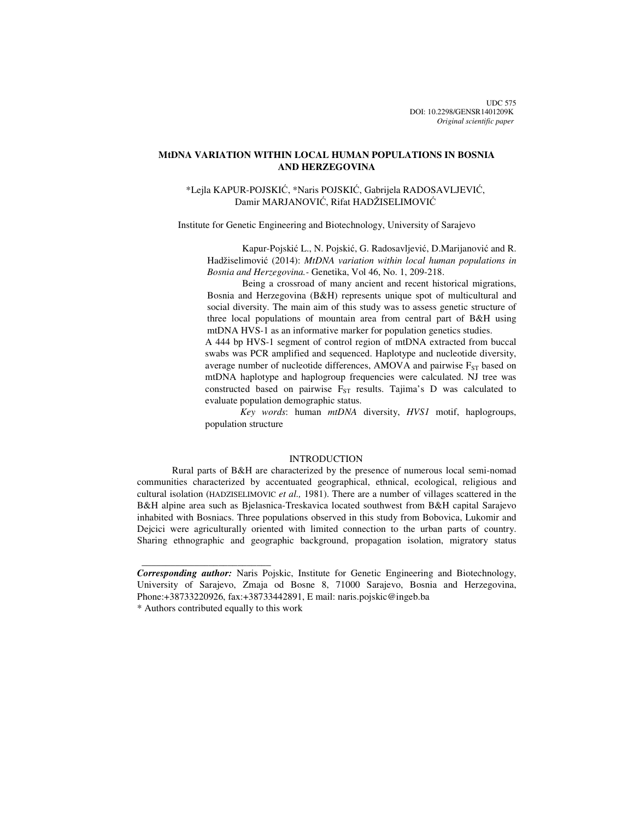# **MtDNA VARIATION WITHIN LOCAL HUMAN POPULATIONS IN BOSNIA AND HERZEGOVINA**

# \*Lejla KAPUR-POJSKIĆ, \*Naris POJSKIĆ, Gabrijela RADOSAVLJEVIĆ, Damir MARJANOVIĆ, Rifat HADŽISELIMOVIĆ

Institute for Genetic Engineering and Biotechnology, University of Sarajevo

Kapur-Pojskić L., N. Pojskić, G. Radosavljević, D.Marijanović and R. Hadžiselimović (2014): *MtDNA variation within local human populations in Bosnia and Herzegovina.-* Genetika, Vol 46, No. 1, 209-218.

Being a crossroad of many ancient and recent historical migrations, Bosnia and Herzegovina (B&H) represents unique spot of multicultural and social diversity. The main aim of this study was to assess genetic structure of three local populations of mountain area from central part of B&H using mtDNA HVS-1 as an informative marker for population genetics studies.

A 444 bp HVS-1 segment of control region of mtDNA extracted from buccal swabs was PCR amplified and sequenced. Haplotype and nucleotide diversity, average number of nucleotide differences, AMOVA and pairwise  $F_{ST}$  based on mtDNA haplotype and haplogroup frequencies were calculated. NJ tree was constructed based on pairwise  $F_{ST}$  results. Tajima's D was calculated to evaluate population demographic status.

*Key words*: human *mtDNA* diversity, *HVS1* motif, haplogroups, population structure

#### INTRODUCTION

Rural parts of B&H are characterized by the presence of numerous local semi-nomad communities characterized by accentuated geographical, ethnical, ecological, religious and cultural isolation (HADZISELIMOVIC *et al.,* 1981). There are a number of villages scattered in the B&H alpine area such as Bjelasnica-Treskavica located southwest from B&H capital Sarajevo inhabited with Bosniacs. Three populations observed in this study from Bobovica, Lukomir and Dejcici were agriculturally oriented with limited connection to the urban parts of country. Sharing ethnographic and geographic background, propagation isolation, migratory status

 $\frac{1}{2}$  , and the set of the set of the set of the set of the set of the set of the set of the set of the set of the set of the set of the set of the set of the set of the set of the set of the set of the set of the set

*Corresponding author:* Naris Pojskic, Institute for Genetic Engineering and Biotechnology, University of Sarajevo, Zmaja od Bosne 8, 71000 Sarajevo, Bosnia and Herzegovina, Phone:+38733220926, fax:+38733442891, E mail: naris.pojskic@ingeb.ba

<sup>\*</sup> Authors contributed equally to this work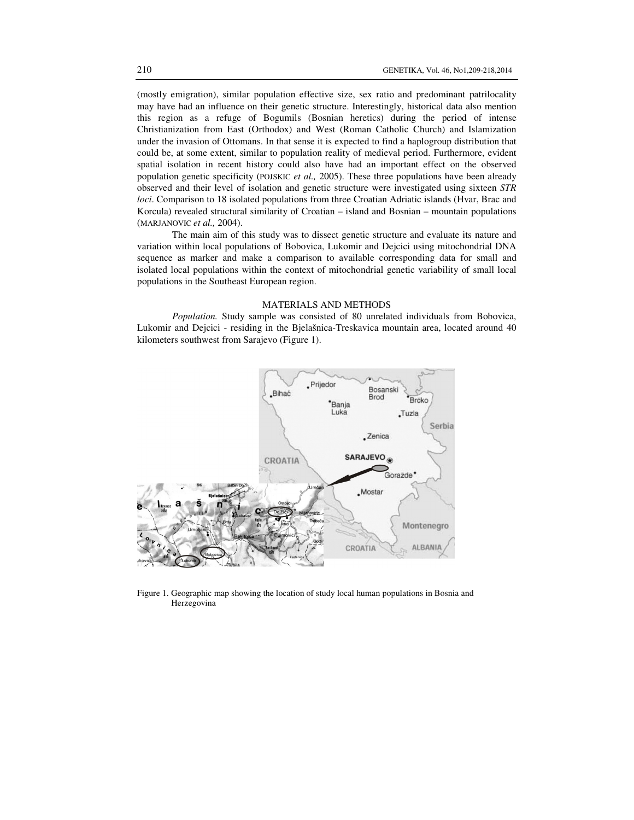(mostly emigration), similar population effective size, sex ratio and predominant patrilocality may have had an influence on their genetic structure. Interestingly, historical data also mention this region as a refuge of Bogumils (Bosnian heretics) during the period of intense Christianization from East (Orthodox) and West (Roman Catholic Church) and Islamization under the invasion of Ottomans. In that sense it is expected to find a haplogroup distribution that could be, at some extent, similar to population reality of medieval period. Furthermore, evident spatial isolation in recent history could also have had an important effect on the observed population genetic specificity (POJSKIC *et al.,* 2005). These three populations have been already observed and their level of isolation and genetic structure were investigated using sixteen *STR loci*. Comparison to 18 isolated populations from three Croatian Adriatic islands (Hvar, Brac and Korcula) revealed structural similarity of Croatian – island and Bosnian – mountain populations (MARJANOVIC *et al.,* 2004).

The main aim of this study was to dissect genetic structure and evaluate its nature and variation within local populations of Bobovica, Lukomir and Dejcici using mitochondrial DNA sequence as marker and make a comparison to available corresponding data for small and isolated local populations within the context of mitochondrial genetic variability of small local populations in the Southeast European region.

### MATERIALS AND METHODS

*Population.* Study sample was consisted of 80 unrelated individuals from Bobovica, Lukomir and Dejcici - residing in the Bjelašnica-Treskavica mountain area, located around 40 kilometers southwest from Sarajevo (Figure 1).



Figure 1. Geographic map showing the location of study local human populations in Bosnia and Herzegovina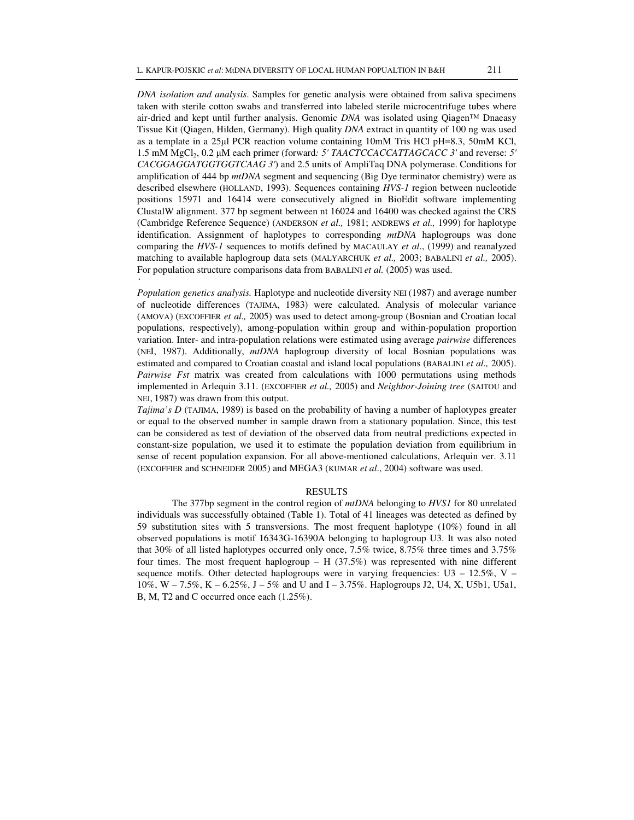*DNA isolation and analysis*. Samples for genetic analysis were obtained from saliva specimens taken with sterile cotton swabs and transferred into labeled sterile microcentrifuge tubes where air-dried and kept until further analysis. Genomic *DNA* was isolated using Qiagen™ Dnaeasy Tissue Kit (Qiagen, Hilden, Germany). High quality *DNA* extract in quantity of 100 ng was used as a template in a 25µl PCR reaction volume containing 10mM Tris HCl pH=8.3, 50mM KCl, 1.5 mM MgCl2, 0.2 µM each primer (forward*: 5' TAACTCCACCATTAGCACC 3'* and reverse: *5' CACGGAGGATGGTGGTCAAG 3'*) and 2.5 units of AmpliTaq DNA polymerase. Conditions for amplification of 444 bp *mtDNA* segment and sequencing (Big Dye terminator chemistry) were as described elsewhere (HOLLAND, 1993). Sequences containing *HVS-1* region between nucleotide positions 15971 and 16414 were consecutively aligned in BioEdit software implementing ClustalW alignment. 377 bp segment between nt 16024 and 16400 was checked against the CRS (Cambridge Reference Sequence) (ANDERSON *et al.,* 1981; ANDREWS *et al.,* 1999) for haplotype identification. Assignment of haplotypes to corresponding *mtDNA* haplogroups was done comparing the *HVS-1* sequences to motifs defined by MACAULAY *et al*., (1999) and reanalyzed matching to available haplogroup data sets (MALYARCHUK *et al.,* 2003; BABALINI *et al.,* 2005). For population structure comparisons data from BABALINI *et al.* (2005) was used. *'* 

*Population genetics analysis.* Haplotype and nucleotide diversity NEI (1987) and average number of nucleotide differences (TAJIMA, 1983) were calculated. Analysis of molecular variance (AMOVA) (EXCOFFIER *et al.,* 2005) was used to detect among-group (Bosnian and Croatian local populations, respectively), among-population within group and within-population proportion variation. Inter- and intra-population relations were estimated using average *pairwise* differences (NEI, 1987). Additionally, *mtDNA* haplogroup diversity of local Bosnian populations was estimated and compared to Croatian coastal and island local populations (BABALINI *et al.,* 2005). *Pairwise Fst* matrix was created from calculations with 1000 permutations using methods implemented in Arlequin 3.11. (EXCOFFIER *et al.,* 2005) and *Neighbor-Joining tree* (SAITOU and NEI, 1987) was drawn from this output.

*Tajima's D* (TAJIMA, 1989) is based on the probability of having a number of haplotypes greater or equal to the observed number in sample drawn from a stationary population. Since, this test can be considered as test of deviation of the observed data from neutral predictions expected in constant-size population, we used it to estimate the population deviation from equilibrium in sense of recent population expansion. For all above-mentioned calculations, Arlequin ver. 3.11 (EXCOFFIER and SCHNEIDER 2005) and MEGA3 (KUMAR *et al*., 2004) software was used.

#### RESULTS

The 377bp segment in the control region of *mtDNA* belonging to *HVS1* for 80 unrelated individuals was successfully obtained (Table 1). Total of 41 lineages was detected as defined by 59 substitution sites with 5 transversions. The most frequent haplotype (10%) found in all observed populations is motif 16343G-16390A belonging to haplogroup U3. It was also noted that 30% of all listed haplotypes occurred only once, 7.5% twice, 8.75% three times and 3.75% four times. The most frequent haplogroup  $-$  H (37.5%) was represented with nine different sequence motifs. Other detected haplogroups were in varying frequencies: U3 – 12.5%, V – 10%, W – 7.5%, K – 6.25%, J – 5% and U and I – 3.75%. Haplogroups J2, U4, X, U5b1, U5a1, B, M, T2 and C occurred once each (1.25%).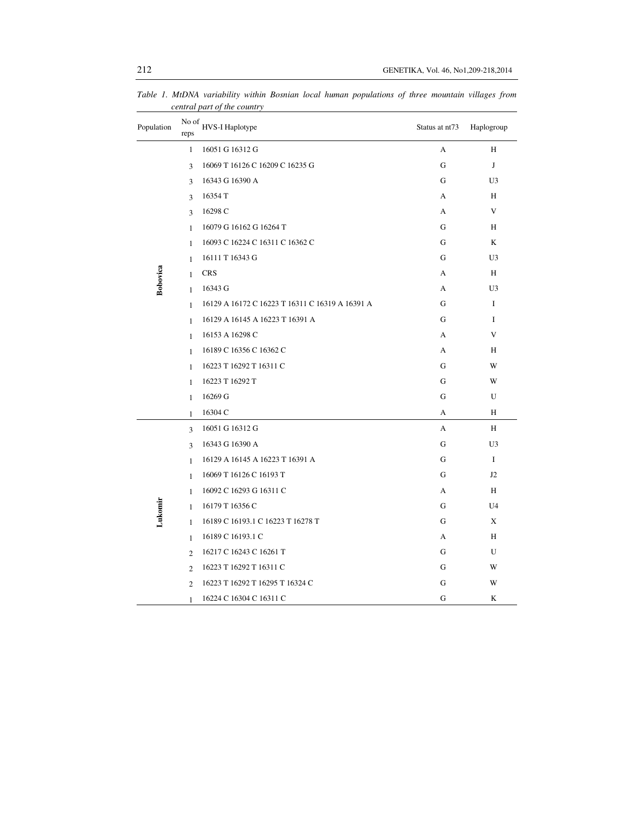| Population | No of<br>reps  | HVS-I Haplotype                                 | Status at nt73 | Haplogroup     |  |
|------------|----------------|-------------------------------------------------|----------------|----------------|--|
|            | $\mathbf{1}$   | 16051 G 16312 G                                 | A              | H              |  |
|            | 3              | 16069 T 16126 C 16209 C 16235 G                 | G              | J              |  |
|            | 3              | 16343 G 16390 A                                 | G              | U3             |  |
|            | 3              | 16354 T                                         | А              | Н              |  |
|            | 3              | 16298 C                                         | A              | V              |  |
|            | $\mathbf{1}$   | 16079 G 16162 G 16264 T                         | G              | H              |  |
|            | $\mathbf{1}$   | 16093 C 16224 C 16311 C 16362 C                 | G              | K              |  |
| Bobovica   | $\mathbf{1}$   | 16111 T 16343 G                                 | G              | U <sub>3</sub> |  |
|            | $\mathbf{1}$   | <b>CRS</b>                                      | A              | H              |  |
|            | $\mathbf{1}$   | 16343 G                                         | A              | U3             |  |
|            | $\mathbf{1}$   | 16129 A 16172 C 16223 T 16311 C 16319 A 16391 A | G              | I              |  |
|            | $\mathbf{1}$   | 16129 A 16145 A 16223 T 16391 A                 | G              | I              |  |
|            | $\mathbf{1}$   | 16153 A 16298 C                                 | A              | V              |  |
|            | $\mathbf{1}$   | 16189 C 16356 C 16362 C                         | A              | Η              |  |
|            | $\mathbf{1}$   | 16223 T 16292 T 16311 C                         | G              | W              |  |
|            | $\mathbf{1}$   | 16223 T 16292 T                                 | G              | W              |  |
|            | $\mathbf{1}$   | 16269 G                                         | G              | U              |  |
|            | $\mathbf{1}$   | 16304 C                                         | A              | Η              |  |
| Lukomir    | 3              | 16051 G 16312 G                                 | A              | H              |  |
|            | 3              | 16343 G 16390 A                                 | G              | U3             |  |
|            | $\mathbf{1}$   | 16129 A 16145 A 16223 T 16391 A                 | G              | $\bf I$        |  |
|            | $\mathbf{1}$   | 16069 T 16126 C 16193 T                         | G              | J <sub>2</sub> |  |
|            | $\mathbf{1}$   | 16092 C 16293 G 16311 C                         | A              | H              |  |
|            | $\mathbf{1}$   | 16179 T 16356 C                                 | G              | U <sub>4</sub> |  |
|            | $\mathbf{1}$   | 16189 C 16193.1 C 16223 T 16278 T               | G              | X              |  |
|            | $\mathbf{1}$   | 16189 C 16193.1 C                               | A              | H              |  |
|            | $\mathfrak{D}$ | 16217 C 16243 C 16261 T                         | G              | U              |  |
|            | $\overline{c}$ | 16223 T 16292 T 16311 C                         | G              | W              |  |
|            | $\overline{2}$ | 16223 T 16292 T 16295 T 16324 C                 | G              | W              |  |
|            | 1              | 16224 C 16304 C 16311 C                         | G              | K              |  |

*Table 1. MtDNA variability within Bosnian local human populations of three mountain villages from central part of the country*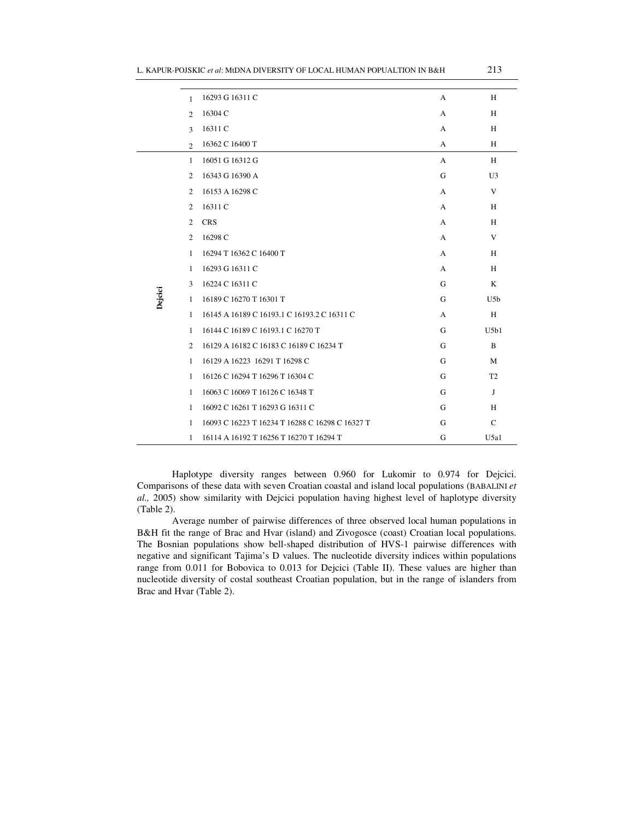| 16293 G 16311 C<br>A<br>1                                            | H              |
|----------------------------------------------------------------------|----------------|
|                                                                      |                |
| 16304 C<br>A<br>$\overline{c}$                                       | H              |
| 16311 C<br>A<br>$\mathcal{L}$                                        | H              |
| 16362 C 16400 T<br>A<br>$\mathfrak{D}$                               | H              |
| 16051 G 16312 G<br>$\mathbf{1}$<br>A                                 | H              |
| 16343 G 16390 A<br>2<br>G                                            | U <sub>3</sub> |
| 16153 A 16298 C<br>$\overline{c}$<br>A                               | V              |
| 16311 C<br>$\overline{2}$<br>A                                       | H              |
| <b>CRS</b><br>$\overline{c}$<br>A                                    | H              |
| $\overline{2}$<br>16298 C<br>А                                       | V              |
| 16294 T 16362 C 16400 T<br>$\mathbf{1}$<br>А                         | H              |
| 16293 G 16311 C<br>A<br>1                                            | H              |
| 16224 C 16311 C<br>3<br>G                                            | K              |
| Dejcici<br>16189 C 16270 T 16301 T<br>G<br>$\mathbf{1}$              | U5b            |
| 16145 A 16189 C 16193.1 C 16193.2 C 16311 C<br>1<br>А                | H              |
| 16144 C 16189 C 16193.1 C 16270 T<br>$\mathbf{1}$<br>G               | U5b1           |
| 16129 A 16182 C 16183 C 16189 C 16234 T<br>$\overline{2}$<br>G       | $\overline{B}$ |
| 16129 A 16223 16291 T 16298 C<br>G<br>1                              | M              |
| 16126 C 16294 T 16296 T 16304 C<br>G<br>$\mathbf{1}$                 | T <sub>2</sub> |
| 16063 C 16069 T 16126 C 16348 T<br>G<br>$\mathbf{1}$                 | J              |
| 16092 C 16261 T 16293 G 16311 C<br>G<br>$\mathbf{1}$                 | H              |
| 16093 C 16223 T 16234 T 16288 C 16298 C 16327 T<br>G<br>$\mathbf{1}$ | $\mathcal{C}$  |
| 16114 A 16192 T 16256 T 16270 T 16294 T<br>G<br>$\mathbf{1}$         | U5a1           |

Haplotype diversity ranges between 0.960 for Lukomir to 0.974 for Dejcici. Comparisons of these data with seven Croatian coastal and island local populations (BABALINI *et al.,* 2005) show similarity with Dejcici population having highest level of haplotype diversity (Table 2).

Average number of pairwise differences of three observed local human populations in B&H fit the range of Brac and Hvar (island) and Zivogosce (coast) Croatian local populations. The Bosnian populations show bell-shaped distribution of HVS-1 pairwise differences with negative and significant Tajima's D values. The nucleotide diversity indices within populations range from 0.011 for Bobovica to 0.013 for Dejcici (Table II). These values are higher than nucleotide diversity of costal southeast Croatian population, but in the range of islanders from Brac and Hvar (Table 2).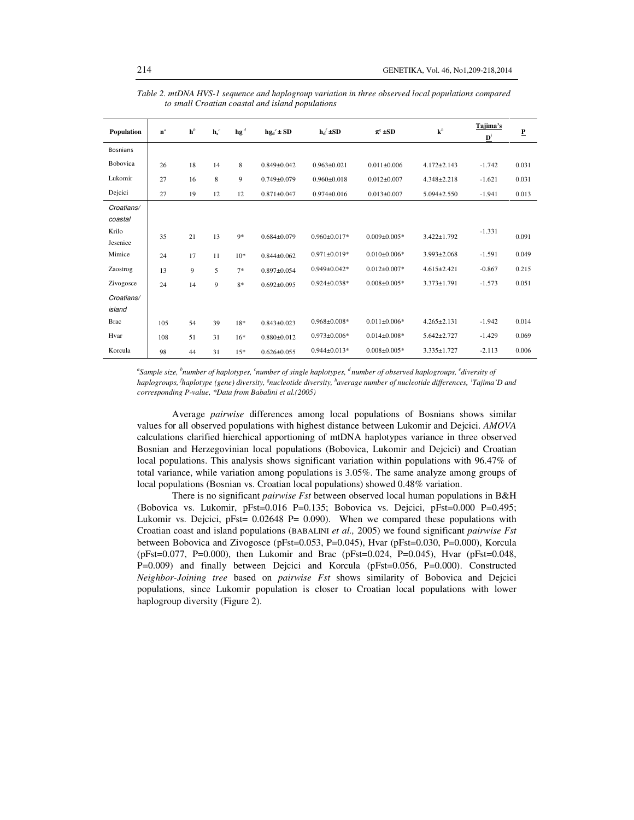| Population      | $n^a$ | $h^b$ | $\mathbf{h}^c$ | $\mathbf{h}\mathbf{g}^d$ | $hg_d^e \pm SD$   | $h_d$ ±SD          | $\pi^g \pm SD$     | ${\bf k}^h$       | Tajima's<br>${\bf D}^i$ | ₽     |
|-----------------|-------|-------|----------------|--------------------------|-------------------|--------------------|--------------------|-------------------|-------------------------|-------|
| <b>Bosnians</b> |       |       |                |                          |                   |                    |                    |                   |                         |       |
| Bobovica        | 26    | 18    | 14             | 8                        | $0.849 \pm 0.042$ | $0.963 \pm 0.021$  | $0.011 \pm 0.006$  | $4.172 \pm 2.143$ | $-1.742$                | 0.031 |
| Lukomir         | 27    | 16    | 8              | 9                        | $0.749 \pm 0.079$ | $0.960 \pm 0.018$  | $0.012 \pm 0.007$  | $4.348 \pm 2.218$ | $-1.621$                | 0.031 |
| Dejcici         | 27    | 19    | 12             | 12                       | $0.871 \pm 0.047$ | $0.974 \pm 0.016$  | $0.013 \pm 0.007$  | $5.094 \pm 2.550$ | $-1.941$                | 0.013 |
| Croatians/      |       |       |                |                          |                   |                    |                    |                   |                         |       |
| coastal         |       |       |                |                          |                   |                    |                    |                   |                         |       |
| Krilo           | 35    | 21    | 13             | $9*$                     | $0.684 \pm 0.079$ | $0.960 \pm 0.017*$ | $0.009 \pm 0.005*$ | $3.422 \pm 1.792$ | $-1.331$                | 0.091 |
| Jesenice        |       |       |                |                          |                   |                    |                    |                   |                         |       |
| Mimice          | 24    | 17    | 11             | $10*$                    | $0.844 \pm 0.062$ | $0.971 \pm 0.019*$ | $0.010\pm0.006*$   | $3.993 \pm 2.068$ | $-1.591$                | 0.049 |
| Zaostrog        | 13    | 9     | 5              | $7*$                     | $0.897 + 0.054$   | $0.949 \pm 0.042*$ | $0.012 \pm 0.007*$ | $4.615 \pm 2.421$ | $-0.867$                | 0.215 |
| Zivogosce       | 24    | 14    | $\mathbf{Q}$   | $8*$                     | $0.692 \pm 0.095$ | $0.924 \pm 0.038*$ | $0.008 \pm 0.005*$ | $3.373 \pm 1.791$ | $-1.573$                | 0.051 |
| Croatians/      |       |       |                |                          |                   |                    |                    |                   |                         |       |
| island          |       |       |                |                          |                   |                    |                    |                   |                         |       |
| <b>Brac</b>     | 105   | 54    | 39             | $18*$                    | $0.843 \pm 0.023$ | $0.968 \pm 0.008*$ | $0.011 \pm 0.006*$ | $4.265 \pm 2.131$ | $-1.942$                | 0.014 |
| Hvar            | 108   | 51    | 31             | $16*$                    | $0.880 \pm 0.012$ | $0.973 \pm 0.006*$ | $0.014 \pm 0.008*$ | $5.642 \pm 2.727$ | $-1.429$                | 0.069 |
| Korcula         | 98    | 44    | 31             | $15*$                    | $0.626 \pm 0.055$ | $0.944 \pm 0.013*$ | $0.008 \pm 0.005*$ | $3.335 \pm 1.727$ | $-2.113$                | 0.006 |

*Table 2. mtDNA HVS-1 sequence and haplogroup variation in three observed local populations compared to small Croatian coastal and island populations* 

*a Sample size, <sup>b</sup> number of haplotypes, <sup>c</sup> number of single haplotypes, <sup>d</sup>number of observed haplogroups, <sup>e</sup> diversity of haplogroups, <sup>f</sup> haplotype (gene) diversity, <sup>g</sup> nucleotide diversity, <sup>h</sup> average number of nucleotide differences, i Tajima'D and corresponding P-value, \*Data from Babalini et al.(2005)* 

Average *pairwise* differences among local populations of Bosnians shows similar values for all observed populations with highest distance between Lukomir and Dejcici. *AMOVA*  calculations clarified hierchical apportioning of mtDNA haplotypes variance in three observed Bosnian and Herzegovinian local populations (Bobovica, Lukomir and Dejcici) and Croatian local populations. This analysis shows significant variation within populations with 96.47% of total variance, while variation among populations is 3.05%. The same analyze among groups of local populations (Bosnian vs. Croatian local populations) showed 0.48% variation.

There is no significant *pairwise Fst* between observed local human populations in B&H (Bobovica vs. Lukomir, pFst=0.016 P=0.135; Bobovica vs. Dejcici, pFst=0.000 P=0.495; Lukomir vs. Dejcici, pFst= 0.02648 P= 0.090). When we compared these populations with Croatian coast and island populations (BABALINI *et al.,* 2005) we found significant *pairwise Fst* between Bobovica and Zivogosce (pFst=0.053, P=0.045), Hvar (pFst=0.030, P=0.000), Korcula (pFst=0.077, P=0.000), then Lukomir and Brac (pFst=0.024, P=0.045), Hvar (pFst=0.048, P=0.009) and finally between Dejcici and Korcula (pFst=0.056, P=0.000). Constructed *Neighbor-Joining tree* based on *pairwise Fst* shows similarity of Bobovica and Dejcici populations, since Lukomir population is closer to Croatian local populations with lower haplogroup diversity (Figure 2).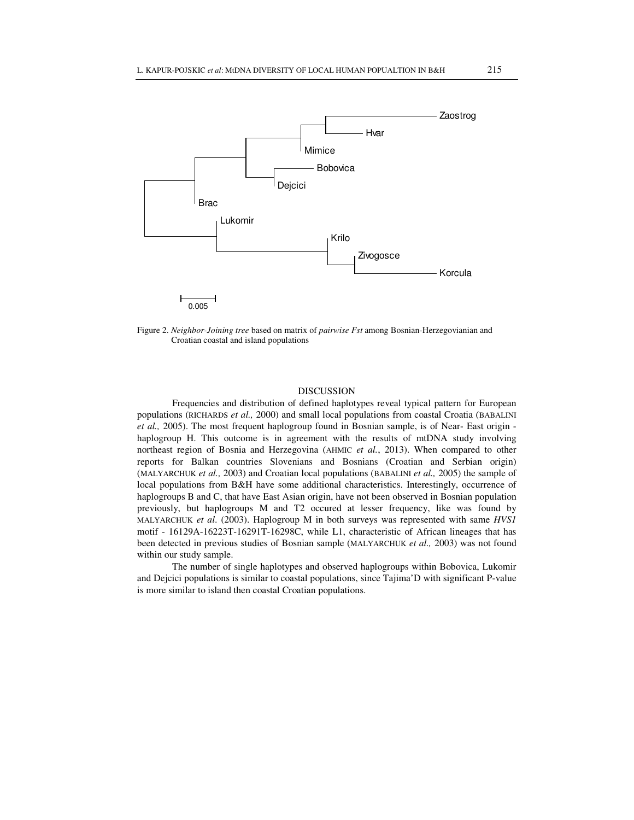

Figure 2. *Neighbor-Joining tree* based on matrix of *pairwise Fst* among Bosnian-Herzegovianian and Croatian coastal and island populations

### DISCUSSION

Frequencies and distribution of defined haplotypes reveal typical pattern for European populations (RICHARDS *et al.,* 2000) and small local populations from coastal Croatia (BABALINI *et al.,* 2005). The most frequent haplogroup found in Bosnian sample, is of Near- East origin haplogroup H. This outcome is in agreement with the results of mtDNA study involving northeast region of Bosnia and Herzegovina (AHMIC *et al.*, 2013). When compared to other reports for Balkan countries Slovenians and Bosnians (Croatian and Serbian origin) (MALYARCHUK *et al.,* 2003) and Croatian local populations (BABALINI *et al.,* 2005) the sample of local populations from B&H have some additional characteristics. Interestingly, occurrence of haplogroups B and C, that have East Asian origin, have not been observed in Bosnian population previously, but haplogroups M and T2 occured at lesser frequency, like was found by MALYARCHUK *et al*. (2003). Haplogroup M in both surveys was represented with same *HVS1* motif - 16129A-16223T-16291T-16298C, while L1, characteristic of African lineages that has been detected in previous studies of Bosnian sample (MALYARCHUK *et al.,* 2003) was not found within our study sample.

The number of single haplotypes and observed haplogroups within Bobovica, Lukomir and Dejcici populations is similar to coastal populations, since Tajima'D with significant P-value is more similar to island then coastal Croatian populations.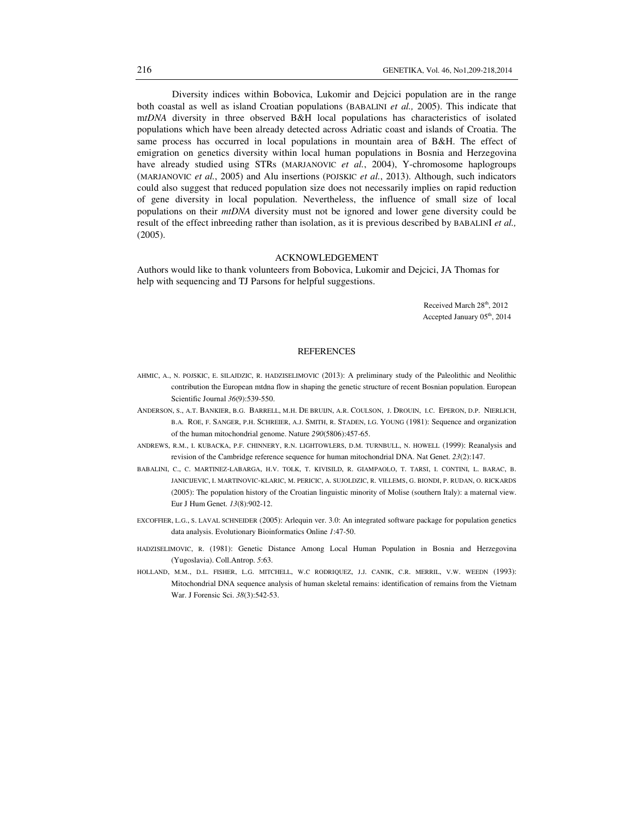Diversity indices within Bobovica, Lukomir and Dejcici population are in the range both coastal as well as island Croatian populations (BABALINI *et al.,* 2005). This indicate that m*tDNA* diversity in three observed B&H local populations has characteristics of isolated populations which have been already detected across Adriatic coast and islands of Croatia. The same process has occurred in local populations in mountain area of B&H. The effect of emigration on genetics diversity within local human populations in Bosnia and Herzegovina have already studied using STRs (MARJANOVIC *et al.*, 2004), Y-chromosome haplogroups (MARJANOVIC *et al.*, 2005) and Alu insertions (POJSKIC *et al.*, 2013). Although, such indicators could also suggest that reduced population size does not necessarily implies on rapid reduction of gene diversity in local population. Nevertheless, the influence of small size of local populations on their *mtDNA* diversity must not be ignored and lower gene diversity could be result of the effect inbreeding rather than isolation, as it is previous described by BABALINI *et al.,* (2005).

### ACKNOWLEDGEMENT

Authors would like to thank volunteers from Bobovica, Lukomir and Dejcici, JA Thomas for help with sequencing and TJ Parsons for helpful suggestions.

> Received March 28<sup>th</sup>, 2012 Accepted January 05<sup>th</sup>, 2014

#### REFERENCES

- AHMIC, A., N. POJSKIC, E. SILAJDZIC, R. HADZISELIMOVIC (2013): A preliminary study of the Paleolithic and Neolithic contribution the European mtdna flow in shaping the genetic structure of recent Bosnian population. European Scientific Journal *36*(9):539-550.
- ANDERSON, S., A.T. BANKIER, B.G. BARRELL, M.H. DE BRUIJN, A.R. COULSON, J. DROUIN, I.C. EPERON, D.P. NIERLICH, B.A. ROE, F. SANGER, P.H. SCHREIER, A.J. SMITH, R. STADEN, I.G. YOUNG (1981): Sequence and organization of the human mitochondrial genome. Nature *290*(5806):457-65.
- ANDREWS, R.M., I. KUBACKA, P.F. CHINNERY, R.N. LIGHTOWLERS, D.M. TURNBULL, N. HOWELL (1999): Reanalysis and revision of the Cambridge reference sequence for human mitochondrial DNA. Nat Genet. *23*(2):147.
- BABALINI, C., C. MARTINEZ-LABARGA, H.V. TOLK, T. KIVISILD, R. GIAMPAOLO, T. TARSI, I. CONTINI, L. BARAC, B. JANICIJEVIC, I. MARTINOVIC-KLARIC, M. PERICIC, A. SUJOLDZIC, R. VILLEMS, G. BIONDI, P. RUDAN, O. RICKARDS (2005): The population history of the Croatian linguistic minority of Molise (southern Italy): a maternal view. Eur J Hum Genet. *13*(8):902-12.
- EXCOFFIER, L.G., S. LAVAL SCHNEIDER (2005): Arlequin ver. 3.0: An integrated software package for population genetics data analysis. Evolutionary Bioinformatics Online *1*:47-50.
- HADZISELIMOVIC, R. (1981): Genetic Distance Among Local Human Population in Bosnia and Herzegovina (Yugoslavia). Coll.Antrop. *5*:63.
- HOLLAND, M.M., D.L. FISHER, L.G. MITCHELL, W.C RODRIQUEZ, J.J. CANIK, C.R. MERRIL, V.W. WEEDN (1993): Mitochondrial DNA sequence analysis of human skeletal remains: identification of remains from the Vietnam War. J Forensic Sci. *38*(3):542-53.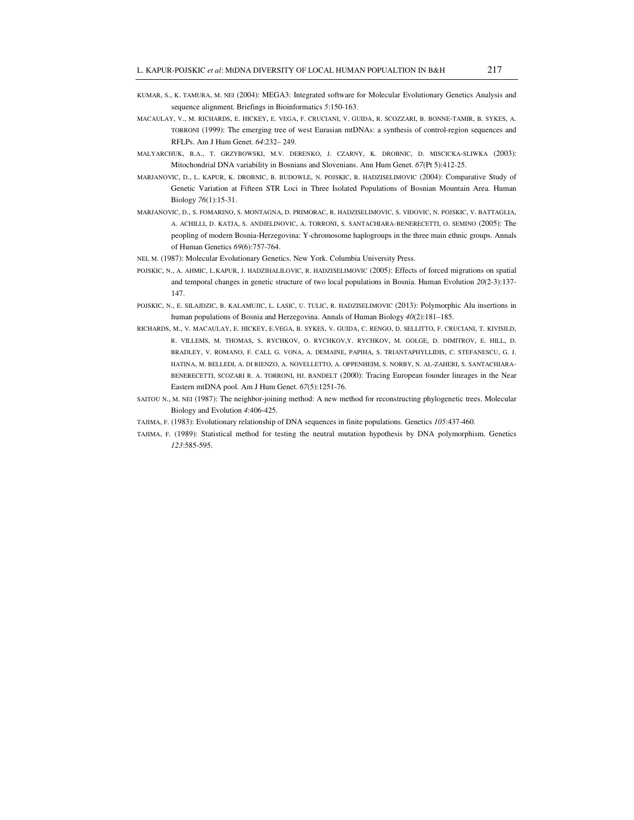- KUMAR, S., K. TAMURA, M. NEI (2004): MEGA3: Integrated software for Molecular Evolutionary Genetics Analysis and sequence alignment. Briefings in Bioinformatics *5*:150-163.
- MACAULAY, V., M. RICHARDS, E. HICKEY, E. VEGA, F. CRUCIANI, V. GUIDA, R. SCOZZARI, B. BONNE-TAMIR, B. SYKES, A. TORRONI (1999): The emerging tree of west Eurasian mtDNAs: a synthesis of control-region sequences and RFLPs. Am J Hum Genet. *64*:232– 249.
- MALYARCHUK, B.A., T. GRZYBOWSKI, M.V. DERENKO, J. CZARNY, K. DROBNIC, D. MISCICKA-SLIWKA (2003): Mitochondrial DNA variability in Bosnians and Slovenians. Ann Hum Genet. *67*(Pt 5):412-25.
- MARJANOVIC, D., L. KAPUR, K. DROBNIC, B. BUDOWLE, N. POJSKIC, R. HADZISELIMOVIC (2004): Comparative Study of Genetic Variation at Fifteen STR Loci in Three Isolated Populations of Bosnian Mountain Area. Human Biology *76*(1):15-31.
- MARJANOVIC, D., S. FOMARINO, S. MONTAGNA, D. PRIMORAC, R. HADZISELIMOVIC, S. VIDOVIC, N. POJSKIC, V. BATTAGLIA, A. ACHILLI, D. KATJA, S. ANDJELINOVIC, A. TORRONI, S. SANTACHIARA-BENERECETTI, O. SEMINO (2005): The peopling of modern Bosnia-Herzegovina: Y-chromosome haplogroups in the three main ethnic groups. Annals of Human Genetics *69*(6):757-764.
- NEI, M. (1987): Molecular Evolutionary Genetics. New York. Columbia University Press.
- POJSKIC, N., A. AHMIC, L.KAPUR, J. HADZIHALILOVIC, R. HADZISELIMOVIC (2005): Effects of forced migrations on spatial and temporal changes in genetic structure of two local populations in Bosnia. Human Evolution *20*(2-3):137- 147.
- POJSKIC, N., E. SILAJDZIC, B. KALAMUJIC, L. LASIC, U. TULIC, R. HADZISELIMOVIC (2013): Polymorphic Alu insertions in human populations of Bosnia and Herzegovina. Annals of Human Biology *40*(2):181–185.
- RICHARDS, M., V. MACAULAY, E. HICKEY, E.VEGA, B. SYKES, V. GUIDA, C. RENGO, D. SELLITTO, F. CRUCIANI, T. KIVISILD, R. VILLEMS, M. THOMAS, S. RYCHKOV, O. RYCHKOV,Y. RYCHKOV, M. GOLGE, D. DIMITROV, E. HILL, D. BRADLEY, V. ROMANO, F. CALI, G. VONA, A. DEMAINE, PAPIHA, S. TRIANTAPHYLLIDIS, C. STEFANESCU, G. J. HATINA, M. BELLEDI, A. DI RIENZO, A. NOVELLETTO, A. OPPENHEIM, S. NORBY, N. AL-ZAHERI, S. SANTACHIARA-BENERECETTI, SCOZARI R. A. TORRONI, HJ. BANDELT (2000): Tracing European founder lineages in the Near Eastern mtDNA pool. Am J Hum Genet. *67*(5):1251-76.
- SAITOU N., M. NEI (1987): The neighbor-joining method: A new method for reconstructing phylogenetic trees. Molecular Biology and Evolution *4*:406-425.
- TAJIMA, F. (1983): Evolutionary relationship of DNA sequences in finite populations. Genetics *105*:437-460.
- TAJIMA, F. (1989): Statistical method for testing the neutral mutation hypothesis by DNA polymorphism. Genetics *123*:585-595.